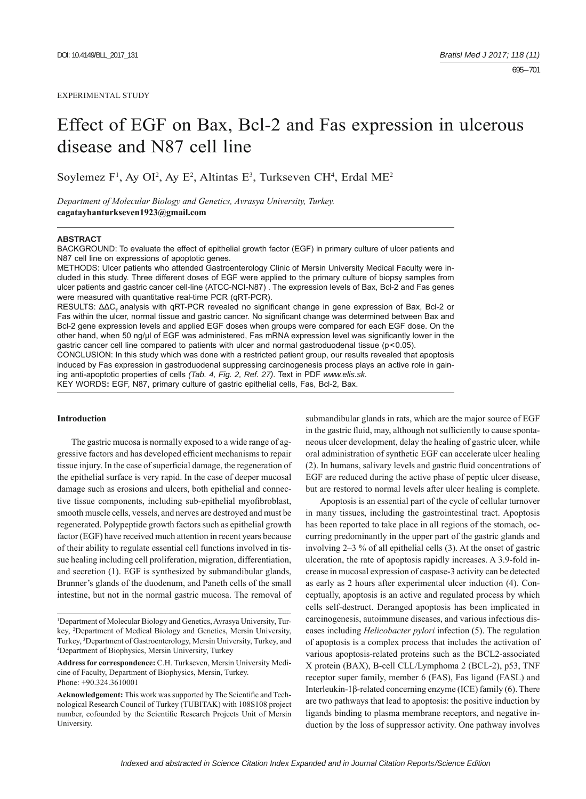# Effect of EGF on Bax, Bcl-2 and Fas expression in ulcerous disease and N87 cell line

Soylemez F<sup>1</sup>, Ay OI<sup>2</sup>, Ay E<sup>2</sup>, Altintas E<sup>3</sup>, Turkseven CH<sup>4</sup>, Erdal ME<sup>2</sup>

*Department of Molecular Biology and Genetics, Avrasya University, Turkey.*  **cagatayhanturkseven1923@gmail.com**

#### **ABSTRACT**

BACKGROUND: To evaluate the effect of epithelial growth factor (EGF) in primary culture of ulcer patients and N87 cell line on expressions of apoptotic genes.

METHODS: Ulcer patients who attended Gastroenterology Clinic of Mersin University Medical Faculty were included in this study. Three different doses of EGF were applied to the primary culture of biopsy samples from ulcer patients and gastric cancer cell-line (ATCC-NCI-N87) . The expression levels of Bax, Bcl-2 and Fas genes were measured with quantitative real-time PCR (qRT-PCR).

RESULTS: ΔΔC<sub>T</sub> analysis with qRT-PCR revealed no significant change in gene expression of Bax, Bcl-2 or Fas within the ulcer, normal tissue and gastric cancer. No significant change was determined between Bax and Bcl-2 gene expression levels and applied EGF doses when groups were compared for each EGF dose. On the other hand, when 50 ng/µl of EGF was administered, Fas mRNA expression level was significantly lower in the gastric cancer cell line compared to patients with ulcer and normal gastroduodenal tissue (p<0.05).

CONCLUSION: In this study which was done with a restricted patient group, our results revealed that apoptosis induced by Fas expression in gastroduodenal suppressing carcinogenesis process plays an active role in gaining anti-apoptotic properties of cells *(Tab. 4, Fig. 2, Ref. 27)*. Text in PDF *www.elis.sk.*

KEY WORDS**:** EGF, N87, primary culture of gastric epithelial cells, Fas, Bcl-2, Bax.

## **Introduction**

The gastric mucosa is normally exposed to a wide range of aggressive factors and has developed efficient mechanisms to repair tissue injury. In the case of superficial damage, the regeneration of the epithelial surface is very rapid. In the case of deeper mucosal damage such as erosions and ulcers, both epithelial and connective tissue components, including sub-epithelial myofibroblast, smooth muscle cells, vessels, and nerves are destroyed and must be regenerated. Polypeptide growth factors such as epithelial growth factor (EGF) have received much attention in recent years because of their ability to regulate essential cell functions involved in tissue healing including cell proliferation, migration, differentiation, and secretion (1). EGF is synthesized by submandibular glands, Brunner's glands of the duodenum, and Paneth cells of the small intestine, but not in the normal gastric mucosa. The removal of

**Address for correspondence:** C.H. Turkseven, Mersin University Medicine of Faculty, Department of Biophysics, Mersin, Turkey. Phone: +90.324.3610001

Acknowledgement: This work was supported by The Scientific and Technological Research Council of Turkey (TUBITAK) with 108S108 project number, cofounded by the Scientific Research Projects Unit of Mersin University.

submandibular glands in rats, which are the major source of EGF in the gastric fluid, may, although not sufficiently to cause spontaneous ulcer development, delay the healing of gastric ulcer, while oral administration of synthetic EGF can accelerate ulcer healing (2). In humans, salivary levels and gastric fluid concentrations of EGF are reduced during the active phase of peptic ulcer disease, but are restored to normal levels after ulcer healing is complete.

Apoptosis is an essential part of the cycle of cellular turnover in many tissues, including the gastrointestinal tract. Apoptosis has been reported to take place in all regions of the stomach, occurring predominantly in the upper part of the gastric glands and involving 2–3 % of all epithelial cells (3). At the onset of gastric ulceration, the rate of apoptosis rapidly increases. A 3.9-fold increase in mucosal expression of caspase-3 activity can be detected as early as 2 hours after experimental ulcer induction (4). Conceptually, apoptosis is an active and regulated process by which cells self-destruct. Deranged apoptosis has been implicated in carcinogenesis, autoimmune diseases, and various infectious diseases including *Helicobacter pylori* infection (5). The regulation of apoptosis is a complex process that includes the activation of various apoptosis-related proteins such as the BCL2-associated X protein (BAX), B-cell CLL/Lymphoma 2 (BCL-2), p53, TNF receptor super family, member 6 (FAS), Fas ligand (FASL) and Interleukin-1β-related concerning enzyme (ICE) family (6). There are two pathways that lead to apoptosis: the positive induction by ligands binding to plasma membrane receptors, and negative induction by the loss of suppressor activity. One pathway involves

<sup>1</sup> Department of Molecular Biology and Genetics, Avrasya University, Turkey, 2 Department of Medical Biology and Genetics, Mersin University, Turkey, 3 Department of Gastroenterology, Mersin University, Turkey, and 4 Department of Biophysics, Mersin University, Turkey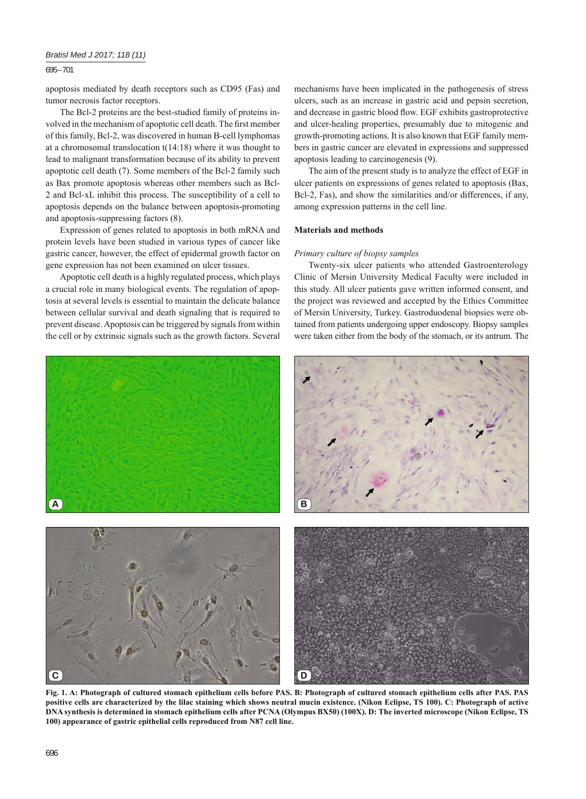## 695 – 701

apoptosis mediated by death receptors such as CD95 (Fas) and tumor necrosis factor receptors.

The Bcl-2 proteins are the best-studied family of proteins involved in the mechanism of apoptotic cell death. The first member of this family, Bcl-2, was discovered in human B-cell lymphomas at a chromosomal translocation t(14:18) where it was thought to lead to malignant transformation because of its ability to prevent apoptotic cell death (7). Some members of the Bcl-2 family such as Bax promote apoptosis whereas other members such as Bcl-2 and Bcl-xL inhibit this process. The susceptibility of a cell to apoptosis depends on the balance between apoptosis-promoting and apoptosis-suppressing factors (8).

Expression of genes related to apoptosis in both mRNA and protein levels have been studied in various types of cancer like gastric cancer, however, the effect of epidermal growth factor on gene expression has not been examined on ulcer tissues.

Apoptotic cell death is a highly regulated process, which plays a crucial role in many biological events. The regulation of apoptosis at several levels is essential to maintain the delicate balance between cellular survival and death signaling that is required to prevent disease. Apoptosis can be triggered by signals from within the cell or by extrinsic signals such as the growth factors. Several mechanisms have been implicated in the pathogenesis of stress ulcers, such as an increase in gastric acid and pepsin secretion, and decrease in gastric blood flow. EGF exhibits gastroprotective and ulcer-healing properties, presumably due to mitogenic and growth-promoting actions. It is also known that EGF family members in gastric cancer are elevated in expressions and suppressed apoptosis leading to carcinogenesis (9).

The aim of the present study is to analyze the effect of EGF in ulcer patients on expressions of genes related to apoptosis (Bax, Bcl-2, Fas), and show the similarities and/or differences, if any, among expression patterns in the cell line.

#### **Materials and methods**

#### *Primary culture of biopsy samples*

Twenty-six ulcer patients who attended Gastroenterology Clinic of Mersin University Medical Faculty were included in this study. All ulcer patients gave written informed consent, and the project was reviewed and accepted by the Ethics Committee of Mersin University, Turkey. Gastroduodenal biopsies were obtained from patients undergoing upper endoscopy. Biopsy samples were taken either from the body of the stomach, or its antrum. The



**Fig. 1. A: Photograph of cultured stomach epithelium cells before PAS. B: Photograph of cultured stomach epithelium cells after PAS. PAS positive cells are characterized by the lilac staining which shows neutral mucin existence. (Nikon Eclipse, TS 100). C: Photograph of active DNA synthesis is determined in stomach epithelium cells after PCNA (Olympus BX50) (100X). D: The inverted microscope (Nikon Eclipse, TS 100) appearance of gastric epithelial cells reproduced from N87 cell line.**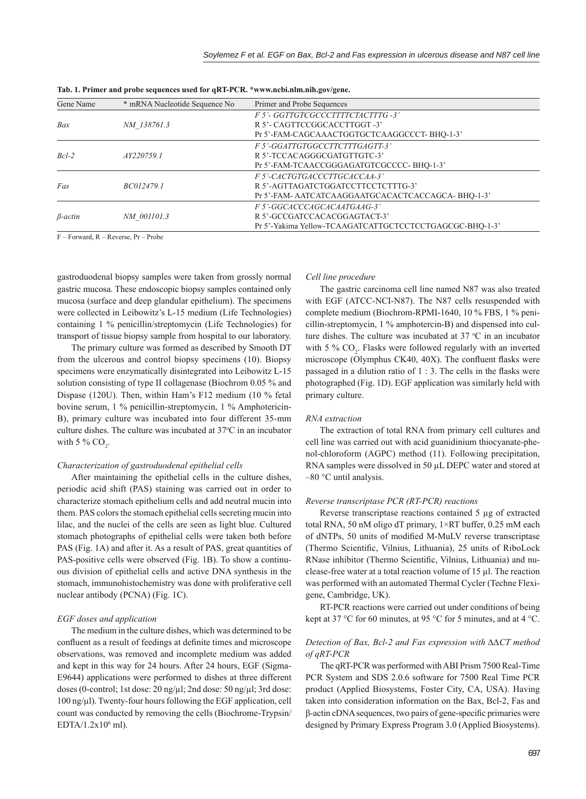| Gene Name                               | * mRNA Nucleotide Sequence No          | Primer and Probe Sequences                              |
|-----------------------------------------|----------------------------------------|---------------------------------------------------------|
|                                         |                                        | F 5'- GGTTGTCGCCCTTTTCTACTTTG -3'                       |
| Bax                                     | NM 138761.3                            | R 5'- CAGTTCCGGCACCTTGGT -3'                            |
|                                         |                                        | Pr 5'-FAM-CAGCAAACTGGTGCTCAAGGCCCT-BHQ-1-3'             |
|                                         |                                        | F 5'-GGATTGTGGCCTTCTTTGAGTT-3'                          |
| $Bcl-2$                                 | AY220759.1                             | R 5'-TCCACAGGGCGATGTTGTC-3'                             |
|                                         |                                        | Pr 5'-FAM-TCAACCGGGAGATGTCGCCCC-BHO-1-3'                |
|                                         |                                        | F 5'-CACTGTGACCCTTGCACCAA-3'                            |
| Fas                                     | BC012479.1                             | R 5'-AGTTAGATCTGGATCCTTCCTCTTTG-3'                      |
|                                         |                                        | Pr 5'-FAM- AATCATCAAGGAATGCACACTCACCAGCA-BHQ-1-3'       |
|                                         |                                        | F 5'-GGCACCCAGCACAATGAAG-3'                             |
| $β-actin$                               | NM 001101.3                            | R 5'-GCCGATCCACACGGAGTACT-3'                            |
|                                         |                                        | Pr 5'-Yakima Yellow-TCAAGATCATTGCTCCTCCTGAGCGC-BHQ-1-3' |
| $\mathbf{r}$ $\mathbf{r}$<br>$\sqrt{2}$ | $\mathbb{R}$ $\mathbb{R}$ $\mathbb{R}$ |                                                         |

**Tab. 1. Primer and probe sequences used for qRT-PCR. \*www.ncbi.nlm.nih.gov/gene.**

F – Forward, R – Reverse, Pr – Probe

gastroduodenal biopsy samples were taken from grossly normal gastric mucosa. These endoscopic biopsy samples contained only mucosa (surface and deep glandular epithelium). The specimens were collected in Leibowitz's L-15 medium (Life Technologies) containing 1 % penicillin/streptomycin (Life Technologies) for transport of tissue biopsy sample from hospital to our laboratory.

The primary culture was formed as described by Smooth DT from the ulcerous and control biopsy specimens (10). Biopsy specimens were enzymatically disintegrated into Leibowitz L-15 solution consisting of type II collagenase (Biochrom 0.05 % and Dispase (120U). Then, within Ham's F12 medium (10 % fetal bovine serum, 1 % penicillin-streptomycin, 1 % Amphotericin-B), primary culture was incubated into four different 35-mm culture dishes. The culture was incubated at 37°C in an incubator with 5 %  $CO_2$ .

#### *Characterization of gastroduodenal epithelial cells*

After maintaining the epithelial cells in the culture dishes, periodic acid shift (PAS) staining was carried out in order to characterize stomach epithelium cells and add neutral mucin into them. PAS colors the stomach epithelial cells secreting mucin into lilac, and the nuclei of the cells are seen as light blue. Cultured stomach photographs of epithelial cells were taken both before PAS (Fig. 1A) and after it. As a result of PAS, great quantities of PAS-positive cells were observed (Fig. 1B). To show a continuous division of epithelial cells and active DNA synthesis in the stomach, immunohistochemistry was done with proliferative cell nuclear antibody (PCNA) (Fig. 1C).

#### *EGF doses and application*

The medium in the culture dishes, which was determined to be confluent as a result of feedings at definite times and microscope observations, was removed and incomplete medium was added and kept in this way for 24 hours. After 24 hours, EGF (Sigma-E9644) applications were performed to dishes at three different doses (0-control; 1st dose: 20 ng/μl; 2nd dose: 50 ng/μl; 3rd dose: 100 ng/μl). Twenty-four hours following the EGF application, cell count was conducted by removing the cells (Biochrome-Trypsin/ EDTA/1.2x10<sup>6</sup> ml).

#### *Cell line procedure*

The gastric carcinoma cell line named N87 was also treated with EGF (ATCC-NCI-N87). The N87 cells resuspended with complete medium (Biochrom-RPMI-1640, 10 % FBS, 1 % penicillin-streptomycin, 1 % amphotercin-B) and dispensed into culture dishes. The culture was incubated at  $37^{\circ}$ C in an incubator with 5 %  $CO<sub>2</sub>$ . Flasks were followed regularly with an inverted microscope (Olymphus CK40,  $40X$ ). The confluent flasks were passaged in a dilution ratio of  $1:3$ . The cells in the flasks were photographed (Fig. 1D). EGF application was similarly held with primary culture.

#### *RNA extraction*

The extraction of total RNA from primary cell cultures and cell line was carried out with acid guanidinium thiocyanate-phenol-chloroform (AGPC) method (11). Following precipitation, RNA samples were dissolved in 50 μL DEPC water and stored at –80 °C until analysis.

#### *Reverse transcriptase PCR (RT-PCR) reactions*

Reverse transcriptase reactions contained 5 μg of extracted total RNA, 50 nM oligo dT primary, 1×RT buffer, 0.25 mM each of dNTPs, 50 units of modified M-MuLV reverse transcriptase (Thermo Scientific, Vilnius, Lithuania), 25 units of RiboLock RNase inhibitor (Thermo Scientific, Vilnius, Lithuania) and nuclease-free water at a total reaction volume of 15 μl. The reaction was performed with an automated Thermal Cycler (Techne Flexigene, Cambridge, UK).

RT-PCR reactions were carried out under conditions of being kept at 37 °C for 60 minutes, at 95 °C for 5 minutes, and at 4 °C.

## *Detection of Bax, Bcl-2 and Fas expression with ∆∆CT method of qRT-PCR*

The qRT-PCR was performed with ABI Prism 7500 Real-Time PCR System and SDS 2.0.6 software for 7500 Real Time PCR product (Applied Biosystems, Foster City, CA, USA). Having taken into consideration information on the Bax, Bcl-2, Fas and β-actin cDNA sequences, two pairs of gene-specific primaries were designed by Primary Express Program 3.0 (Applied Biosystems).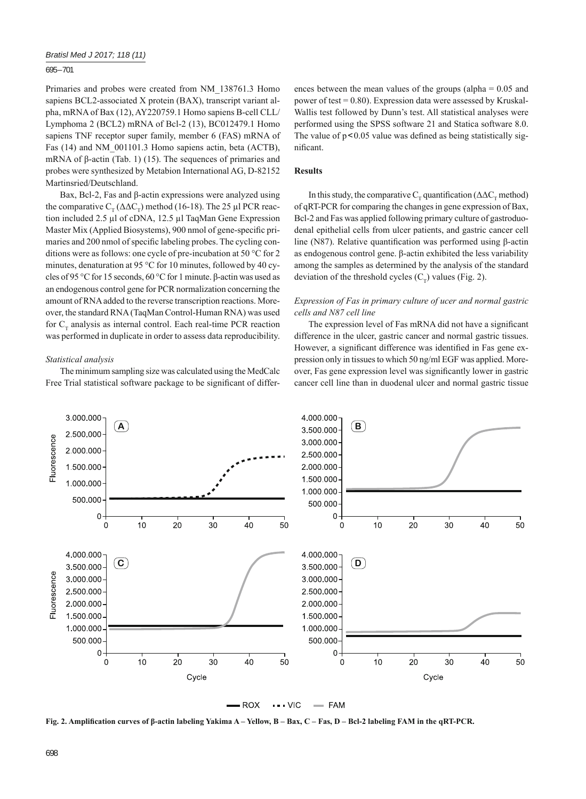## 695 – 701

Primaries and probes were created from NM\_138761.3 Homo sapiens BCL2-associated X protein (BAX), transcript variant alpha, mRNA of Bax (12), AY220759.1 Homo sapiens B-cell CLL/ Lymphoma 2 (BCL2) mRNA of Bcl-2 (13), BC012479.1 Homo sapiens TNF receptor super family, member 6 (FAS) mRNA of Fas (14) and NM\_001101.3 Homo sapiens actin, beta (ACTB), mRNA of β-actin (Tab. 1) (15). The sequences of primaries and probes were synthesized by Metabion International AG, D-82152 Martinsried/Deutschland.

Bax, Bcl-2, Fas and β-actin expressions were analyzed using the comparative  $C_T (\Delta \Delta C_T)$  method (16-18). The 25 μl PCR reaction included 2.5 μl of cDNA, 12.5 μl TaqMan Gene Expression Master Mix (Applied Biosystems), 900 nmol of gene-specific primaries and 200 nmol of specific labeling probes. The cycling conditions were as follows: one cycle of pre-incubation at 50 °C for 2 minutes, denaturation at 95 °C for 10 minutes, followed by 40 cycles of 95 °C for 15 seconds, 60 °C for 1 minute. β-actin was used as an endogenous control gene for PCR normalization concerning the amount of RNA added to the reverse transcription reactions. Moreover, the standard RNA (TaqMan Control-Human RNA) was used for  $C<sub>r</sub>$  analysis as internal control. Each real-time PCR reaction was performed in duplicate in order to assess data reproducibility.

## *Statistical analysis*

The minimum sampling size was calculated using the MedCalc Free Trial statistical software package to be significant of differences between the mean values of the groups (alpha  $= 0.05$  and power of test = 0.80). Expression data were assessed by Kruskal-Wallis test followed by Dunn's test. All statistical analyses were performed using the SPSS software 21 and Statica software 8.0. The value of  $p < 0.05$  value was defined as being statistically significant.

# **Results**

In this study, the comparative  $C_T$  quantification ( $\Delta \Delta C_T$  method) of qRT-PCR for comparing the changes in gene expression of Bax, Bcl-2 and Fas was applied following primary culture of gastroduodenal epithelial cells from ulcer patients, and gastric cancer cell line (N87). Relative quantification was performed using  $\beta$ -actin as endogenous control gene. β-actin exhibited the less variability among the samples as determined by the analysis of the standard deviation of the threshold cycles  $(C<sub>r</sub>)$  values (Fig. 2).

# *Expression of Fas in primary culture of ucer and normal gastric cells and N87 cell line*

The expression level of Fas mRNA did not have a significant difference in the ulcer, gastric cancer and normal gastric tissues. However, a significant difference was identified in Fas gene expression only in tissues to which 50 ng/ml EGF was applied. Moreover, Fas gene expression level was significantly lower in gastric cancer cell line than in duodenal ulcer and normal gastric tissue



**ROX**  $\cdots$  VIC  $-$  FAM

**Fig. 2. Amplifi cation curves of β-actin labeling Yakima A – Yellow, B – Bax, C – Fas, D – Bcl-2 labeling FAM in the qRT-PCR.**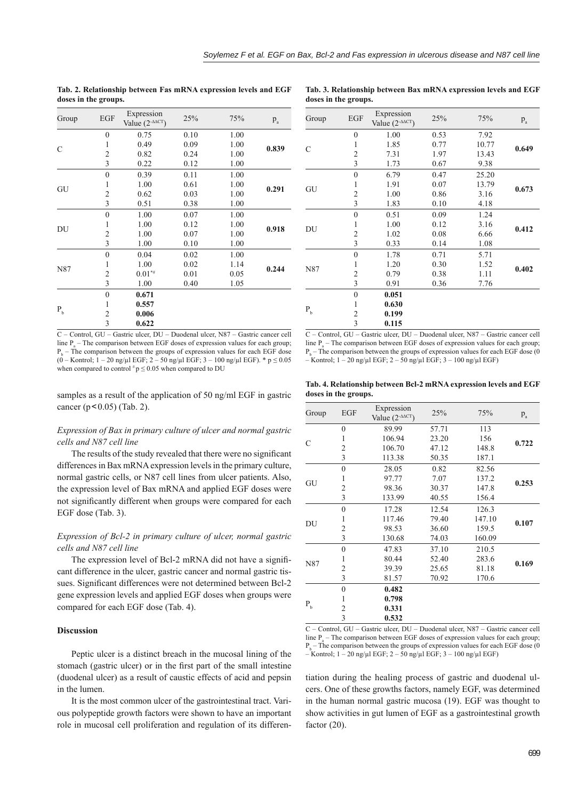Group EGF Expression

| Group   | <b>EGF</b>     | Expression<br>Value $(2^{-AACT})$ | 25%  | 75%  | $P_a$ |
|---------|----------------|-----------------------------------|------|------|-------|
|         | $\mathbf{0}$   | 0.75                              | 0.10 | 1.00 | 0.839 |
| C       | 1              | 0.49                              | 0.09 | 1.00 |       |
|         | $\overline{c}$ | 0.82                              | 0.24 | 1.00 |       |
|         | 3              | 0.22                              | 0.12 | 1.00 |       |
|         | $\mathbf{0}$   | 0.39                              | 0.11 | 1.00 |       |
| GU      | 1              | 1.00                              | 0.61 | 1.00 | 0.291 |
|         | $\overline{c}$ | 0.62                              | 0.03 | 1.00 |       |
|         | 3              | 0.51                              | 0.38 | 1.00 |       |
|         | $\overline{0}$ | 1.00                              | 0.07 | 1.00 | 0.918 |
|         | 1              | 1.00                              | 0.12 | 1.00 |       |
| DU      | $\overline{2}$ | 1.00                              | 0.07 | 1.00 |       |
|         | 3              | 1.00                              | 0.10 | 1.00 |       |
|         | $\mathbf{0}$   | 0.04                              | 0.02 | 1.00 |       |
|         | 1              | 1.00                              | 0.02 | 1.14 |       |
| N87     | $\overline{c}$ | $0.01**$                          | 0.01 | 0.05 | 0.244 |
|         | 3              | 1.00                              | 0.40 | 1.05 |       |
|         | $\mathbf{0}$   | 0.671                             |      |      |       |
|         | 1              | 0.557                             |      |      |       |
| $P_{b}$ | $\overline{c}$ | 0.006                             |      |      |       |
|         | 3              | 0.622                             |      |      |       |

**Tab. 2. Relationship between Fas mRNA expression levels and EGF doses in the groups.**

**Tab. 3. Relationship between Bax mRNA expression levels and EGF doses in the groups.**

Expression 25% 75% p

|                      |                | value $\sqrt{2}$ |      |       |       |
|----------------------|----------------|------------------|------|-------|-------|
|                      | $\theta$       | 1.00             | 0.53 | 7.92  |       |
| C                    | 1              | 1.85             | 0.77 | 10.77 | 0.649 |
|                      | $\overline{2}$ | 7.31             | 1.97 | 13.43 |       |
|                      | 3              | 1.73             | 0.67 | 9.38  |       |
|                      | $\mathbf{0}$   | 6.79             | 0.47 | 25.20 | 0.673 |
| GU                   | 1              | 1.91             | 0.07 | 13.79 |       |
|                      | $\overline{2}$ | 1.00             | 0.86 | 3.16  |       |
|                      | 3              | 1.83             | 0.10 | 4.18  |       |
|                      | $\mathbf{0}$   | 0.51             | 0.09 | 1.24  |       |
|                      | 1              | 1.00             | 0.12 | 3.16  | 0.412 |
| DU                   | $\overline{2}$ | 1.02             | 0.08 | 6.66  |       |
|                      | 3              | 0.33             | 0.14 | 1.08  |       |
|                      | $\overline{0}$ | 1.78             | 0.71 | 5.71  | 0.402 |
|                      | 1              | 1.20             | 0.30 | 1.52  |       |
| N87                  | 2              | 0.79             | 0.38 | 1.11  |       |
|                      | 3              | 0.91             | 0.36 | 7.76  |       |
|                      | $\mathbf{0}$   | 0.051            |      |       |       |
|                      | 1              | 0.630            |      |       |       |
| $\mathbf{P}_{\rm b}$ | $\overline{2}$ | 0.199            |      |       |       |
|                      | 3              | 0.115            |      |       |       |

C – Control, GU – Gastric ulcer, DU – Duodenal ulcer, N87 – Gastric cancer cell line  $P_a$  – The comparison between EGF doses of expression values for each group;  $P_b$  – The comparison between the groups of expression values for each EGF dose  $(0 -$ Kontrol;  $1 - 20$  ng/μl EGF;  $2 - 50$  ng/μl EGF;  $3 - 100$  ng/μl EGF). \*  $p \le 0.05$ when compared to control # $p \le 0.05$  when compared to DU

samples as a result of the application of 50 ng/ml EGF in gastric cancer ( $p < 0.05$ ) (Tab. 2).

# *Expression of Bax in primary culture of ulcer and normal gastric cells and N87 cell line*

The results of the study revealed that there were no significant differences in Bax mRNA expression levels in the primary culture, normal gastric cells, or N87 cell lines from ulcer patients. Also, the expression level of Bax mRNA and applied EGF doses were not significantly different when groups were compared for each EGF dose (Tab. 3).

# *Expression of Bcl-2 in primary culture of ulcer, normal gastric cells and N87 cell line*

The expression level of Bcl-2 mRNA did not have a significant difference in the ulcer, gastric cancer and normal gastric tissues. Significant differences were not determined between Bcl-2 gene expression levels and applied EGF doses when groups were compared for each EGF dose (Tab. 4).

## **Discussion**

Peptic ulcer is a distinct breach in the mucosal lining of the stomach (gastric ulcer) or in the first part of the small intestine (duodenal ulcer) as a result of caustic effects of acid and pepsin in the lumen.

It is the most common ulcer of the gastrointestinal tract. Various polypeptide growth factors were shown to have an important role in mucosal cell proliferation and regulation of its differenC – Control, GU – Gastric ulcer, DU – Duodenal ulcer, N87 – Gastric cancer cell line  $P_a$  – The comparison between EGF doses of expression values for each group;  $P_b$  – The comparison between the groups of expression values for each EGF dose (0 – Kontrol;  $1 - 20$  ng/μl EGF;  $2 - 50$  ng/μl EGF;  $3 - 100$  ng/μl EGF)

**Tab. 4. Relationship between Bcl-2 mRNA expression levels and EGF doses in the groups.**

| Group   | <b>EGF</b>     | Expression<br>Value $(2^{-AACT})$ | 25%   | 75%    | $p_a$ |
|---------|----------------|-----------------------------------|-------|--------|-------|
|         | $\theta$       | 89.99                             | 57.71 | 113    | 0.722 |
| C       | 1              | 106.94                            | 23.20 | 156    |       |
|         | $\overline{2}$ | 106.70                            | 47.12 | 148.8  |       |
|         | 3              | 113.38                            | 50.35 | 187.1  |       |
|         | $\theta$       | 28.05                             | 0.82  | 82.56  | 0.253 |
|         | 1              | 97.77                             | 7.07  | 137.2  |       |
| GU      | 2              | 98.36                             | 30.37 | 147.8  |       |
|         | 3              | 133.99                            | 40.55 | 156.4  |       |
|         | $\overline{0}$ | 17.28                             | 12.54 | 126.3  | 0.107 |
|         | 1              | 117.46                            | 79.40 | 147.10 |       |
| DU      | $\overline{2}$ | 98.53                             | 36.60 | 159.5  |       |
|         | 3              | 130.68                            | 74.03 | 160.09 |       |
|         | $\mathbf{0}$   | 47.83                             | 37.10 | 210.5  | 0.169 |
|         | 1              | 80.44                             | 52.40 | 283.6  |       |
| N87     | $\overline{2}$ | 39.39                             | 25.65 | 81.18  |       |
|         | 3              | 81.57                             | 70.92 | 170.6  |       |
|         | $\overline{0}$ | 0.482                             |       |        |       |
|         | 1              | 0.798                             |       |        |       |
| $P_{b}$ | $\overline{c}$ | 0.331                             |       |        |       |
|         | 3              | 0.532                             |       |        |       |

C – Control, GU – Gastric ulcer, DU – Duodenal ulcer, N87 – Gastric cancer cell line  $P_a$  – The comparison between EGF doses of expression values for each group;  $P_b$  – The comparison between the groups of expression values for each EGF dose (0 – Kontrol; 1 – 20 ng/μl EGF; 2 – 50 ng/μl EGF; 3 – 100 ng/μl EGF)

tiation during the healing process of gastric and duodenal ulcers. One of these growths factors, namely EGF, was determined in the human normal gastric mucosa (19). EGF was thought to show activities in gut lumen of EGF as a gastrointestinal growth factor (20).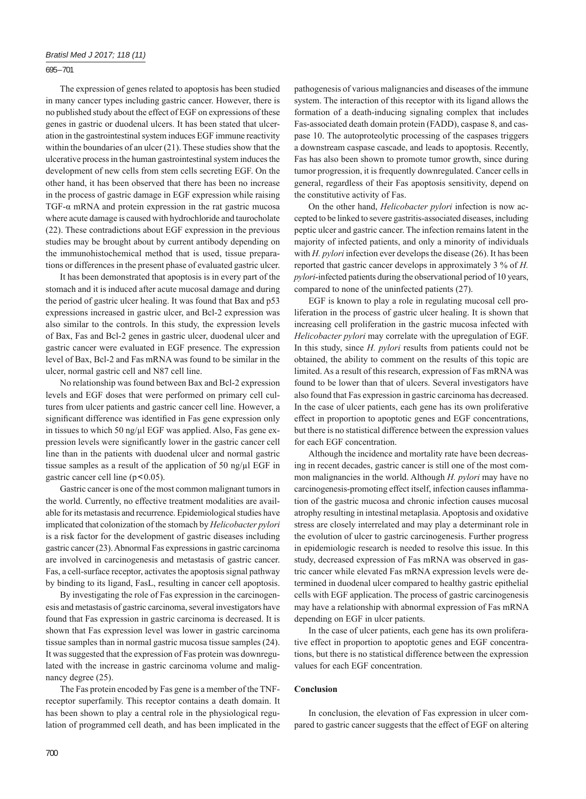## 695 – 701

The expression of genes related to apoptosis has been studied in many cancer types including gastric cancer. However, there is no published study about the effect of EGF on expressions of these genes in gastric or duodenal ulcers. It has been stated that ulceration in the gastrointestinal system induces EGF immune reactivity within the boundaries of an ulcer (21). These studies show that the ulcerative process in the human gastrointestinal system induces the development of new cells from stem cells secreting EGF. On the other hand, it has been observed that there has been no increase in the process of gastric damage in EGF expression while raising TGF-α mRNA and protein expression in the rat gastric mucosa where acute damage is caused with hydrochloride and taurocholate (22). These contradictions about EGF expression in the previous studies may be brought about by current antibody depending on the immunohistochemical method that is used, tissue preparations or differences in the present phase of evaluated gastric ulcer.

It has been demonstrated that apoptosis is in every part of the stomach and it is induced after acute mucosal damage and during the period of gastric ulcer healing. It was found that Bax and p53 expressions increased in gastric ulcer, and Bcl-2 expression was also similar to the controls. In this study, the expression levels of Bax, Fas and Bcl-2 genes in gastric ulcer, duodenal ulcer and gastric cancer were evaluated in EGF presence. The expression level of Bax, Bcl-2 and Fas mRNA was found to be similar in the ulcer, normal gastric cell and N87 cell line.

No relationship was found between Bax and Bcl-2 expression levels and EGF doses that were performed on primary cell cultures from ulcer patients and gastric cancer cell line. However, a significant difference was identified in Fas gene expression only in tissues to which 50 ng/μl EGF was applied. Also, Fas gene expression levels were significantly lower in the gastric cancer cell line than in the patients with duodenal ulcer and normal gastric tissue samples as a result of the application of 50 ng/μl EGF in gastric cancer cell line ( $p < 0.05$ ).

Gastric cancer is one of the most common malignant tumors in the world. Currently, no effective treatment modalities are available for its metastasis and recurrence. Epidemiological studies have implicated that colonization of the stomach by *Helicobacter pylori* is a risk factor for the development of gastric diseases including gastric cancer (23). Abnormal Fas expressions in gastric carcinoma are involved in carcinogenesis and metastasis of gastric cancer. Fas, a cell-surface receptor, activates the apoptosis signal pathway by binding to its ligand, FasL, resulting in cancer cell apoptosis.

By investigating the role of Fas expression in the carcinogenesis and metastasis of gastric carcinoma, several investigators have found that Fas expression in gastric carcinoma is decreased. It is shown that Fas expression level was lower in gastric carcinoma tissue samples than in normal gastric mucosa tissue samples (24). It was suggested that the expression of Fas protein was downregulated with the increase in gastric carcinoma volume and malignancy degree (25).

The Fas protein encoded by Fas gene is a member of the TNFreceptor superfamily. This receptor contains a death domain. It has been shown to play a central role in the physiological regulation of programmed cell death, and has been implicated in the

pathogenesis of various malignancies and diseases of the immune system. The interaction of this receptor with its ligand allows the formation of a death-inducing signaling complex that includes Fas-associated death domain protein (FADD), caspase 8, and caspase 10. The autoproteolytic processing of the caspases triggers a downstream caspase cascade, and leads to apoptosis. Recently, Fas has also been shown to promote tumor growth, since during tumor progression, it is frequently downregulated. Cancer cells in general, regardless of their Fas apoptosis sensitivity, depend on the constitutive activity of Fas.

On the other hand, *Helicobacter pylori* infection is now accepted to be linked to severe gastritis-associated diseases, including peptic ulcer and gastric cancer. The infection remains latent in the majority of infected patients, and only a minority of individuals with *H. pylori* infection ever develops the disease (26). It has been reported that gastric cancer develops in approximately 3 % of *H. pylori*-infected patients during the observational period of 10 years, compared to none of the uninfected patients (27).

EGF is known to play a role in regulating mucosal cell proliferation in the process of gastric ulcer healing. It is shown that increasing cell proliferation in the gastric mucosa infected with *Helicobacter pylori* may correlate with the upregulation of EGF. In this study, since *H. pylori* results from patients could not be obtained, the ability to comment on the results of this topic are limited. As a result of this research, expression of Fas mRNA was found to be lower than that of ulcers. Several investigators have also found that Fas expression in gastric carcinoma has decreased. In the case of ulcer patients, each gene has its own proliferative effect in proportion to apoptotic genes and EGF concentrations, but there is no statistical difference between the expression values for each EGF concentration.

Although the incidence and mortality rate have been decreasing in recent decades, gastric cancer is still one of the most common malignancies in the world. Although *H. pylori* may have no carcinogenesis-promoting effect itself, infection causes inflammation of the gastric mucosa and chronic infection causes mucosal atrophy resulting in intestinal metaplasia. Apoptosis and oxidative stress are closely interrelated and may play a determinant role in the evolution of ulcer to gastric carcinogenesis. Further progress in epidemiologic research is needed to resolve this issue. In this study, decreased expression of Fas mRNA was observed in gastric cancer while elevated Fas mRNA expression levels were determined in duodenal ulcer compared to healthy gastric epithelial cells with EGF application. The process of gastric carcinogenesis may have a relationship with abnormal expression of Fas mRNA depending on EGF in ulcer patients.

In the case of ulcer patients, each gene has its own proliferative effect in proportion to apoptotic genes and EGF concentrations, but there is no statistical difference between the expression values for each EGF concentration.

## **Conclusion**

In conclusion, the elevation of Fas expression in ulcer compared to gastric cancer suggests that the effect of EGF on altering